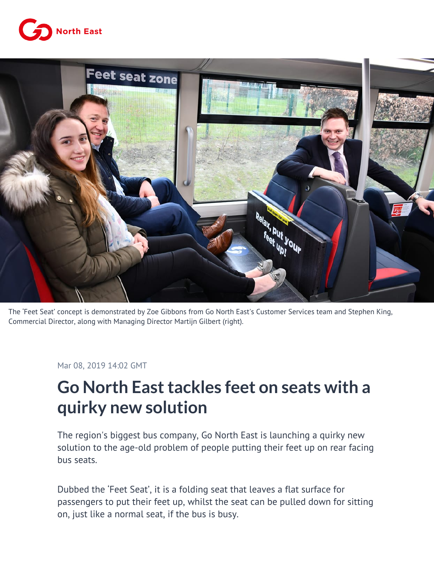



The 'Feet Seat' concept is demonstrated by Zoe Gibbons from Go North East's Customer Services team and Stephen King, Commercial Director, along with Managing Director Martijn Gilbert (right).

Mar 08, 2019 14:02 GMT

## **Go North East tackles feet on seats with a quirky new solution**

The region's biggest bus company, Go North East is launching a quirky new solution to the age-old problem of people putting their feet up on rear facing bus seats.

Dubbed the 'Feet Seat', it is a folding seat that leaves a flat surface for passengers to put their feet up, whilst the seat can be pulled down for sitting on, just like a normal seat, if the bus is busy.